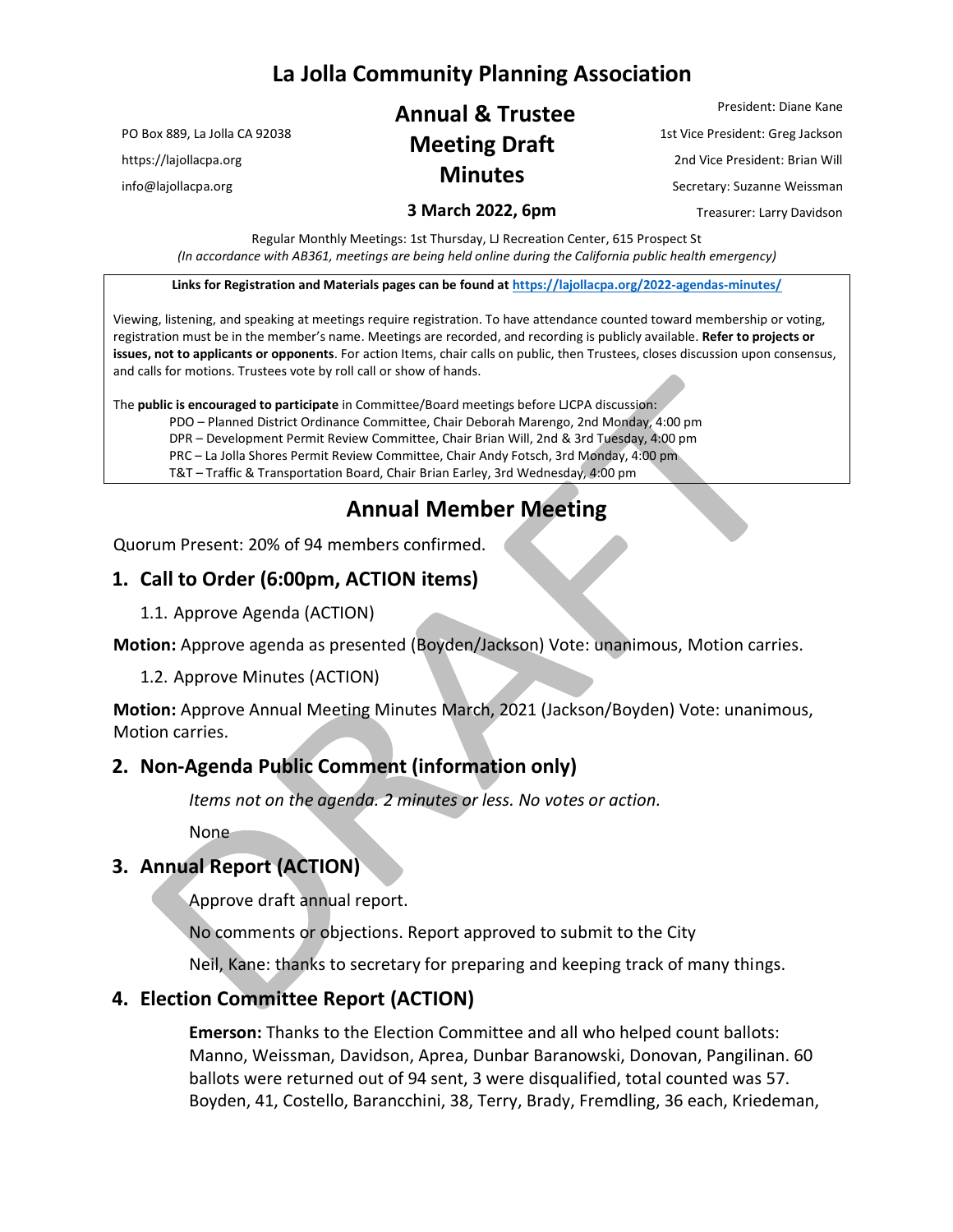## **La Jolla Community Planning Association**

PO Box 889, La Jolla CA 92038

https://lajollacpa.org

info@lajollacpa.org

# **Annual & Trustee Meeting Draft Minutes**

President: Diane Kane 1st Vice President: Greg Jackson 2nd Vice President: Brian Will Secretary: Suzanne Weissman Treasurer: Larry Davidson

**3 March 2022, 6pm**

Regular Monthly Meetings: 1st Thursday, LJ Recreation Center, 615 Prospect St *(In accordance with AB361, meetings are being held online during the California public health emergency)*

**Links for Registration and Materials pages can be found at <https://lajollacpa.org/2022-agendas-minutes/>**

Viewing, listening, and speaking at meetings require registration. To have attendance counted toward membership or voting, registration must be in the member's name. Meetings are recorded, and recording is publicly available. **Refer to projects or issues, not to applicants or opponents**. For action Items, chair calls on public, then Trustees, closes discussion upon consensus, and calls for motions. Trustees vote by roll call or show of hands.

The **public is encouraged to participate** in Committee/Board meetings before LJCPA discussion:

- PDO Planned District Ordinance Committee, Chair Deborah Marengo, 2nd Monday, 4:00 pm
- DPR Development Permit Review Committee, Chair Brian Will, 2nd & 3rd Tuesday, 4:00 pm
- PRC La Jolla Shores Permit Review Committee, Chair Andy Fotsch, 3rd Monday, 4:00 pm
- T&T Traffic & Transportation Board, Chair Brian Earley, 3rd Wednesday, 4:00 pm

## **Annual Member Meeting**

Quorum Present: 20% of 94 members confirmed.

#### **1. Call to Order (6:00pm, ACTION items)**

1.1. Approve Agenda (ACTION)

**Motion:** Approve agenda as presented (Boyden/Jackson) Vote: unanimous, Motion carries.

1.2. Approve Minutes (ACTION)

**Motion:** Approve Annual Meeting Minutes March, 2021 (Jackson/Boyden) Vote: unanimous, Motion carries.

#### **2. Non-Agenda Public Comment (information only)**

*Items not on the agenda. 2 minutes or less. No votes or action.*

None

#### **3. Annual Report (ACTION)**

Approve draft annual report.

No comments or objections. Report approved to submit to the City

Neil, Kane: thanks to secretary for preparing and keeping track of many things.

#### **4. Election Committee Report (ACTION)**

**Emerson:** Thanks to the Election Committee and all who helped count ballots: Manno, Weissman, Davidson, Aprea, Dunbar Baranowski, Donovan, Pangilinan. 60 ballots were returned out of 94 sent, 3 were disqualified, total counted was 57. Boyden, 41, Costello, Barancchini, 38, Terry, Brady, Fremdling, 36 each, Kriedeman,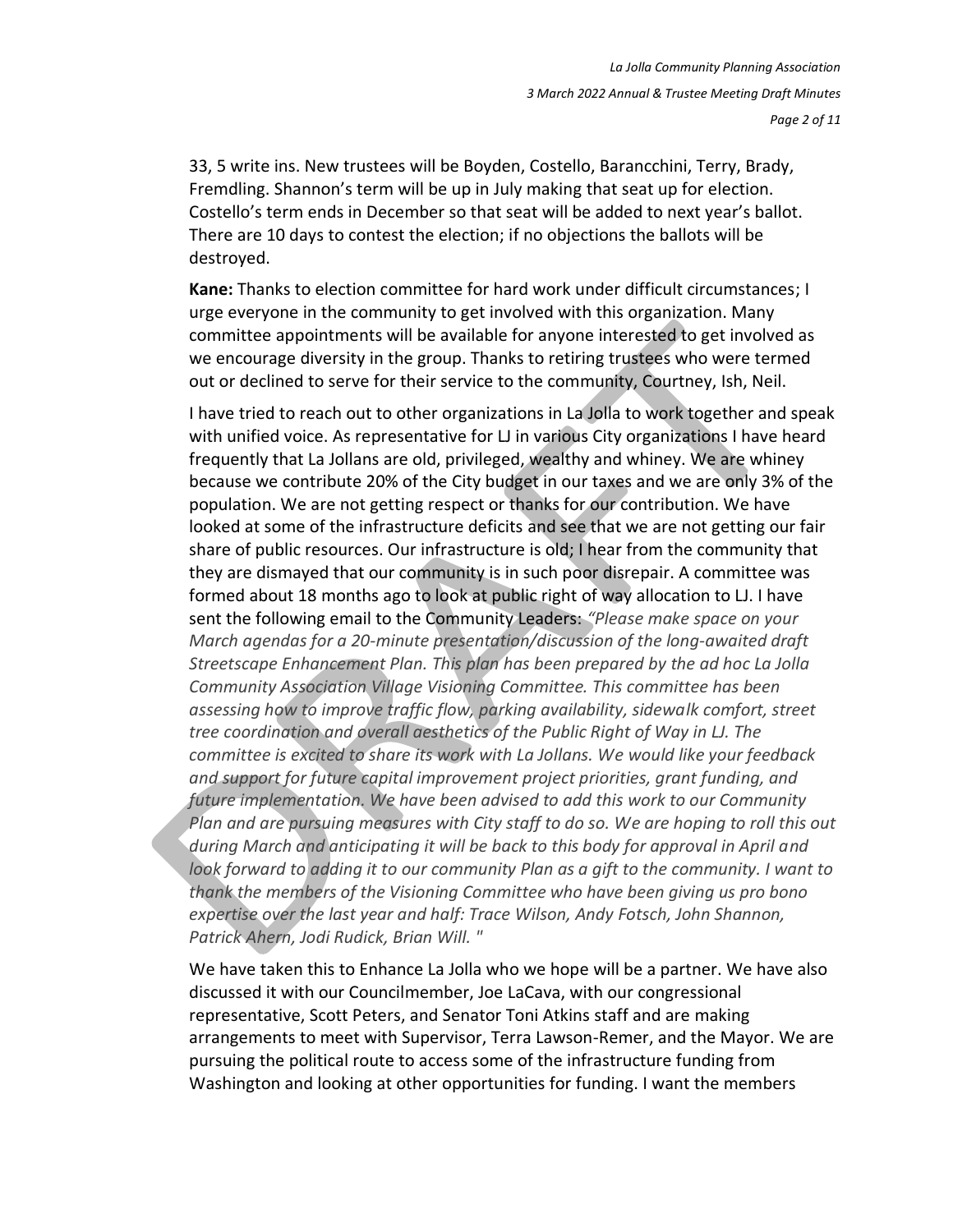*Page 2 of 11*

33, 5 write ins. New trustees will be Boyden, Costello, Barancchini, Terry, Brady, Fremdling. Shannon's term will be up in July making that seat up for election. Costello's term ends in December so that seat will be added to next year's ballot. There are 10 days to contest the election; if no objections the ballots will be destroyed.

**Kane:** Thanks to election committee for hard work under difficult circumstances; I urge everyone in the community to get involved with this organization. Many committee appointments will be available for anyone interested to get involved as we encourage diversity in the group. Thanks to retiring trustees who were termed out or declined to serve for their service to the community, Courtney, Ish, Neil.

I have tried to reach out to other organizations in La Jolla to work together and speak with unified voice. As representative for LJ in various City organizations I have heard frequently that La Jollans are old, privileged, wealthy and whiney. We are whiney because we contribute 20% of the City budget in our taxes and we are only 3% of the population. We are not getting respect or thanks for our contribution. We have looked at some of the infrastructure deficits and see that we are not getting our fair share of public resources. Our infrastructure is old; I hear from the community that they are dismayed that our community is in such poor disrepair. A committee was formed about 18 months ago to look at public right of way allocation to LJ. I have sent the following email to the Community Leaders: *"Please make space on your March agendas for a 20-minute presentation/discussion of the long-awaited draft Streetscape Enhancement Plan. This plan has been prepared by the ad hoc La Jolla Community Association Village Visioning Committee. This committee has been assessing how to improve traffic flow, parking availability, sidewalk comfort, street tree coordination and overall aesthetics of the Public Right of Way in LJ. The committee is excited to share its work with La Jollans. We would like your feedback and support for future capital improvement project priorities, grant funding, and future implementation. We have been advised to add this work to our Community Plan and are pursuing measures with City staff to do so. We are hoping to roll this out during March and anticipating it will be back to this body for approval in April and look forward to adding it to our community Plan as a gift to the community. I want to thank the members of the Visioning Committee who have been giving us pro bono expertise over the last year and half: Trace Wilson, Andy Fotsch, John Shannon, Patrick Ahern, Jodi Rudick, Brian Will. "*

We have taken this to Enhance La Jolla who we hope will be a partner. We have also discussed it with our Councilmember, Joe LaCava, with our congressional representative, Scott Peters, and Senator Toni Atkins staff and are making arrangements to meet with Supervisor, Terra Lawson-Remer, and the Mayor. We are pursuing the political route to access some of the infrastructure funding from Washington and looking at other opportunities for funding. I want the members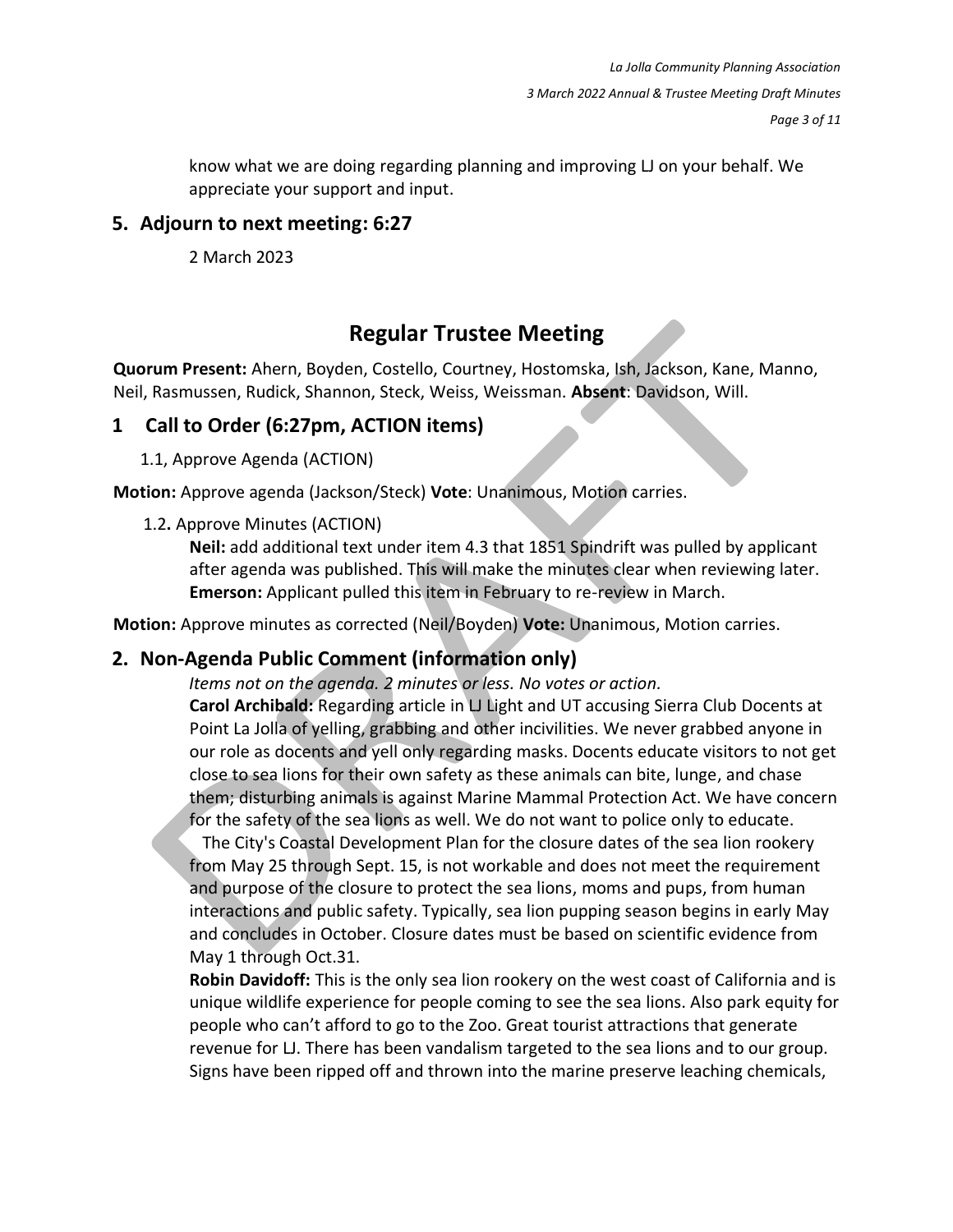know what we are doing regarding planning and improving LJ on your behalf. We appreciate your support and input.

#### **5. Adjourn to next meeting: 6:27**

2 March 2023

## **Regular Trustee Meeting**

**Quorum Present:** Ahern, Boyden, Costello, Courtney, Hostomska, Ish, Jackson, Kane, Manno, Neil, Rasmussen, Rudick, Shannon, Steck, Weiss, Weissman. **Absent**: Davidson, Will.

### **1 Call to Order (6:27pm, ACTION items)**

1.1, Approve Agenda (ACTION)

**Motion:** Approve agenda (Jackson/Steck) **Vote**: Unanimous, Motion carries.

#### 1.2**.** Approve Minutes (ACTION)

**Neil:** add additional text under item 4.3 that 1851 Spindrift was pulled by applicant after agenda was published. This will make the minutes clear when reviewing later. **Emerson:** Applicant pulled this item in February to re-review in March.

**Motion:** Approve minutes as corrected (Neil/Boyden) **Vote:** Unanimous, Motion carries.

## **2. Non-Agenda Public Comment (information only)**

*Items not on the agenda. 2 minutes or less. No votes or action.*

**Carol Archibald:** Regarding article in LI Light and UT accusing Sierra Club Docents at Point La Jolla of yelling, grabbing and other incivilities. We never grabbed anyone in our role as docents and yell only regarding masks. Docents educate visitors to not get close to sea lions for their own safety as these animals can bite, lunge, and chase them; disturbing animals is against Marine Mammal Protection Act. We have concern for the safety of the sea lions as well. We do not want to police only to educate.

 The City's Coastal Development Plan for the closure dates of the sea lion rookery from May 25 through Sept. 15, is not workable and does not meet the requirement and purpose of the closure to protect the sea lions, moms and pups, from human interactions and public safety. Typically, sea lion pupping season begins in early May and concludes in October. Closure dates must be based on scientific evidence from May 1 through Oct.31.

**Robin Davidoff:** This is the only sea lion rookery on the west coast of California and is unique wildlife experience for people coming to see the sea lions. Also park equity for people who can't afford to go to the Zoo. Great tourist attractions that generate revenue for LJ. There has been vandalism targeted to the sea lions and to our group. Signs have been ripped off and thrown into the marine preserve leaching chemicals,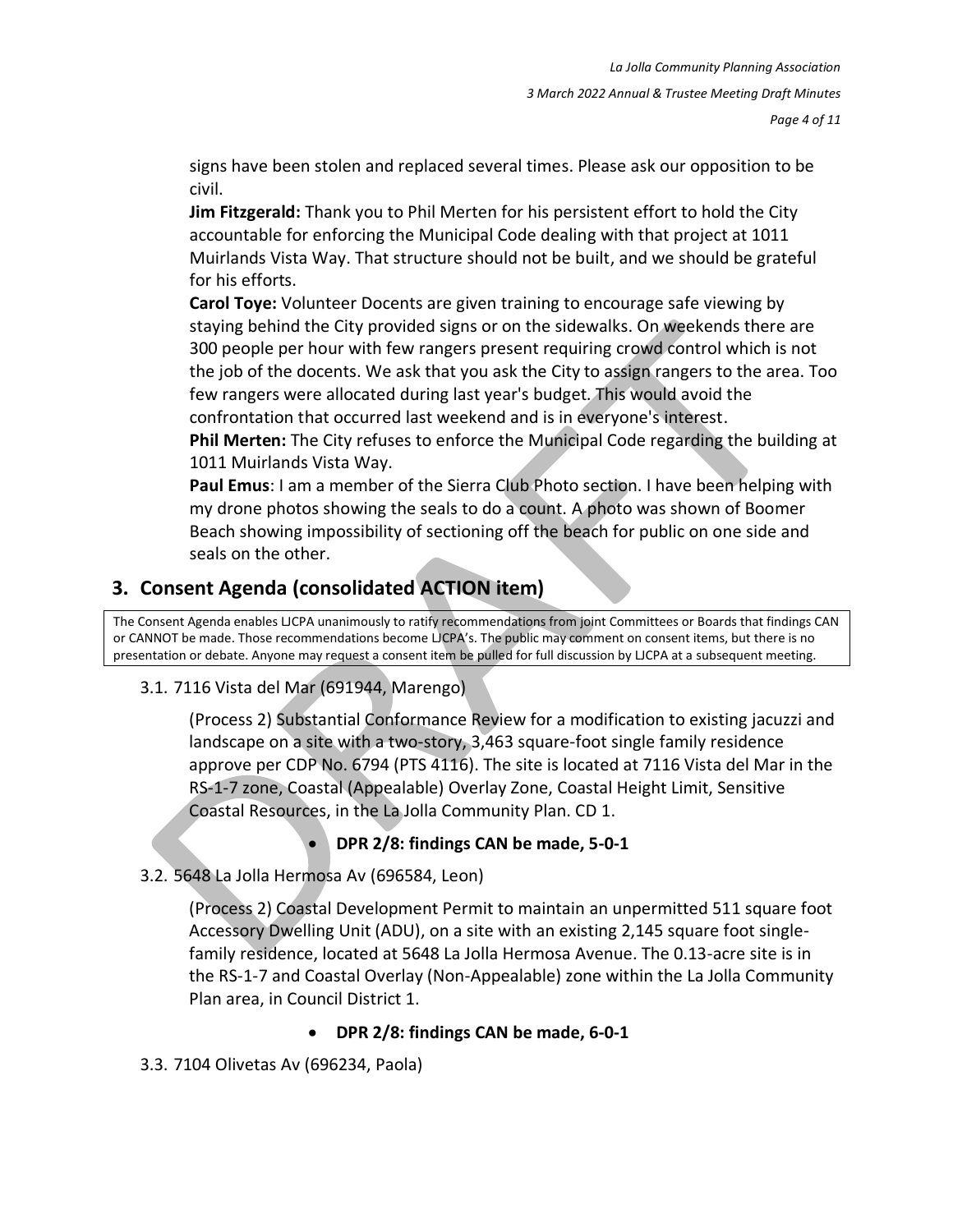signs have been stolen and replaced several times. Please ask our opposition to be civil.

**Jim Fitzgerald:** Thank you to Phil Merten for his persistent effort to hold the City accountable for enforcing the Municipal Code dealing with that project at 1011 Muirlands Vista Way. That structure should not be built, and we should be grateful for his efforts.

**Carol Toye:** Volunteer Docents are given training to encourage safe viewing by staying behind the City provided signs or on the sidewalks. On weekends there are 300 people per hour with few rangers present requiring crowd control which is not the job of the docents. We ask that you ask the City to assign rangers to the area. Too few rangers were allocated during last year's budget. This would avoid the confrontation that occurred last weekend and is in everyone's interest.

**Phil Merten:** The City refuses to enforce the Municipal Code regarding the building at 1011 Muirlands Vista Way.

**Paul Emus**: I am a member of the Sierra Club Photo section. I have been helping with my drone photos showing the seals to do a count. A photo was shown of Boomer Beach showing impossibility of sectioning off the beach for public on one side and seals on the other.

## **3. Consent Agenda (consolidated ACTION item)**

The Consent Agenda enables LJCPA unanimously to ratify recommendations from joint Committees or Boards that findings CAN or CANNOT be made. Those recommendations become LJCPA's. The public may comment on consent items, but there is no presentation or debate. Anyone may request a consent item be pulled for full discussion by LJCPA at a subsequent meeting.

#### 3.1. 7116 Vista del Mar (691944, Marengo)

(Process 2) Substantial Conformance Review for a modification to existing jacuzzi and landscape on a site with a two-story, 3,463 square-foot single family residence approve per CDP No. 6794 (PTS 4116). The site is located at 7116 Vista del Mar in the RS-1-7 zone, Coastal (Appealable) Overlay Zone, Coastal Height Limit, Sensitive Coastal Resources, in the La Jolla Community Plan. CD 1.

• **DPR 2/8: findings CAN be made, 5-0-1**

#### 3.2. 5648 La Jolla Hermosa Av (696584, Leon)

(Process 2) Coastal Development Permit to maintain an unpermitted 511 square foot Accessory Dwelling Unit (ADU), on a site with an existing 2,145 square foot singlefamily residence, located at 5648 La Jolla Hermosa Avenue. The 0.13-acre site is in the RS-1-7 and Coastal Overlay (Non-Appealable) zone within the La Jolla Community Plan area, in Council District 1.

#### • **DPR 2/8: findings CAN be made, 6-0-1**

3.3. 7104 Olivetas Av (696234, Paola)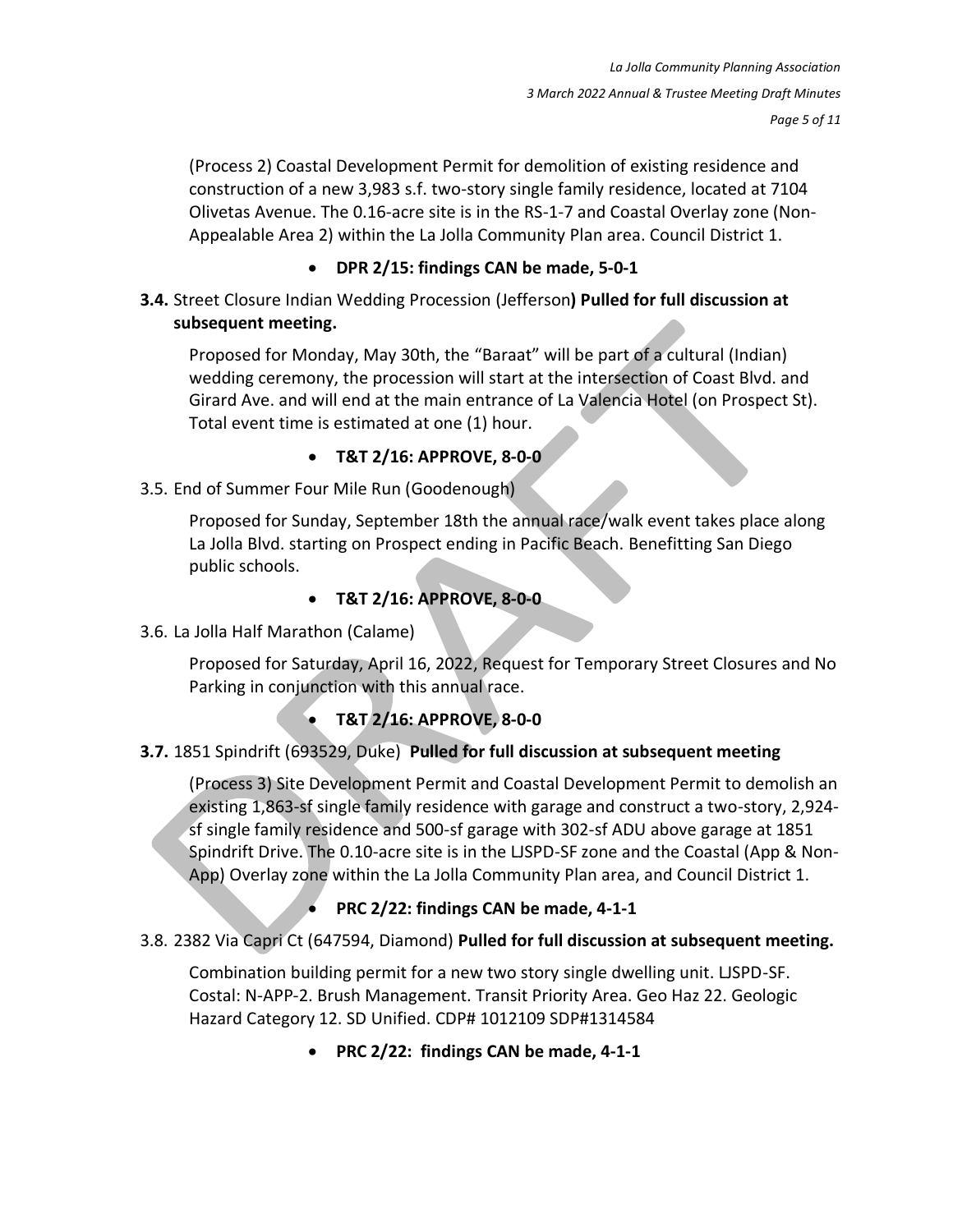*Page 5 of 11*

(Process 2) Coastal Development Permit for demolition of existing residence and construction of a new 3,983 s.f. two-story single family residence, located at 7104 Olivetas Avenue. The 0.16-acre site is in the RS-1-7 and Coastal Overlay zone (Non-Appealable Area 2) within the La Jolla Community Plan area. Council District 1.

#### • **DPR 2/15: findings CAN be made, 5-0-1**

**3.4.** Street Closure Indian Wedding Procession (Jefferson**) Pulled for full discussion at subsequent meeting.**

Proposed for Monday, May 30th, the "Baraat" will be part of a cultural (Indian) wedding ceremony, the procession will start at the intersection of Coast Blvd. and Girard Ave. and will end at the main entrance of La Valencia Hotel (on Prospect St). Total event time is estimated at one (1) hour.

#### • **T&T 2/16: APPROVE, 8-0-0**

#### 3.5. End of Summer Four Mile Run (Goodenough)

Proposed for Sunday, September 18th the annual race/walk event takes place along La Jolla Blvd. starting on Prospect ending in Pacific Beach. Benefitting San Diego public schools.

### • **T&T 2/16: APPROVE, 8-0-0**

#### 3.6. La Jolla Half Marathon (Calame)

Proposed for Saturday, April 16, 2022, Request for Temporary Street Closures and No Parking in conjunction with this annual race.

## • **T&T 2/16: APPROVE, 8-0-0**

#### **3.7.** 1851 Spindrift (693529, Duke) **Pulled for full discussion at subsequent meeting**

(Process 3) Site Development Permit and Coastal Development Permit to demolish an existing 1,863-sf single family residence with garage and construct a two-story, 2,924 sf single family residence and 500-sf garage with 302-sf ADU above garage at 1851 Spindrift Drive. The 0.10-acre site is in the LJSPD-SF zone and the Coastal (App & Non-App) Overlay zone within the La Jolla Community Plan area, and Council District 1.

• **PRC 2/22: findings CAN be made, 4-1-1**

#### 3.8. 2382 Via Capri Ct (647594, Diamond) **Pulled for full discussion at subsequent meeting.**

Combination building permit for a new two story single dwelling unit. LJSPD-SF. Costal: N-APP-2. Brush Management. Transit Priority Area. Geo Haz 22. Geologic Hazard Category 12. SD Unified. CDP# 1012109 SDP#1314584

• **PRC 2/22: findings CAN be made, 4-1-1**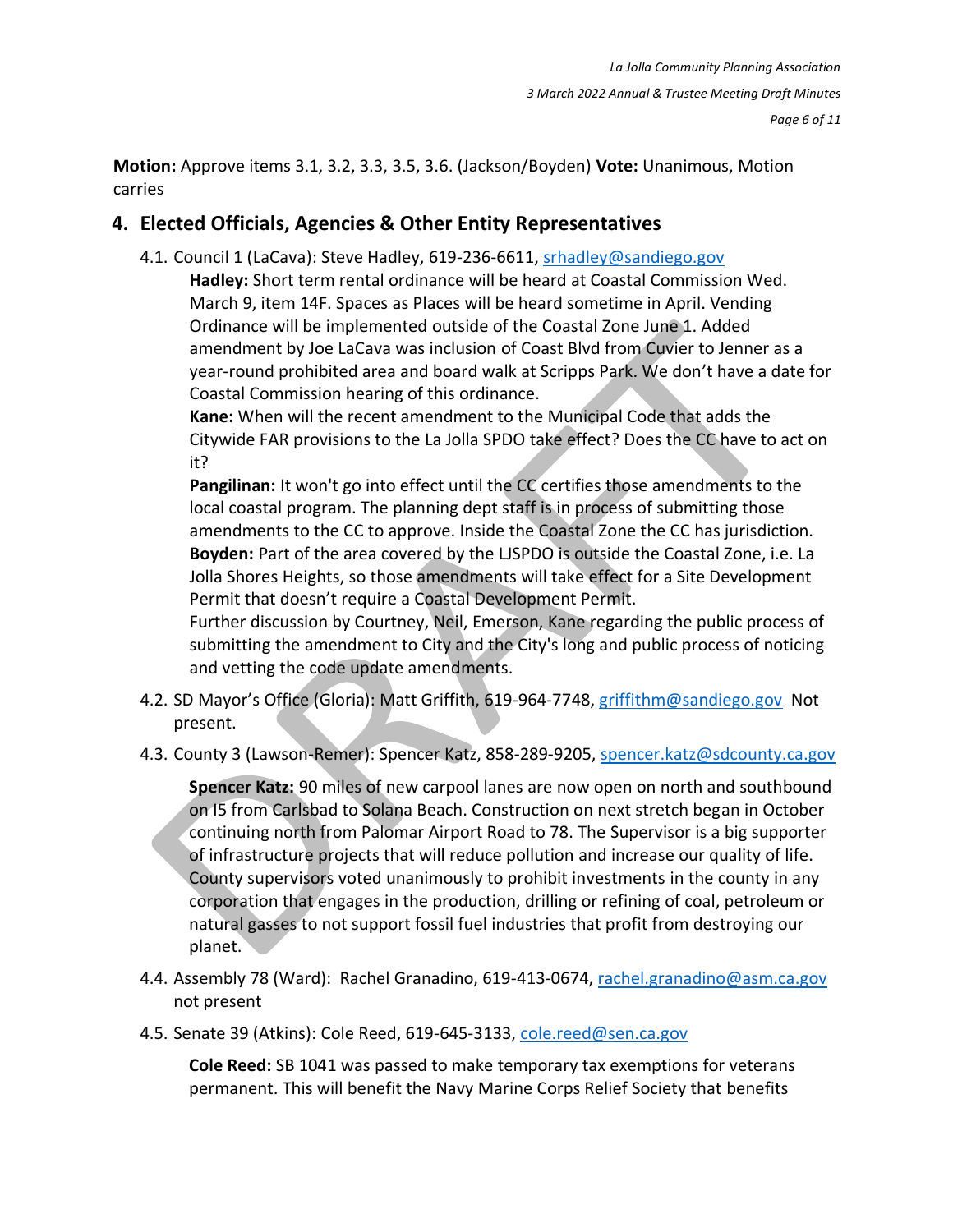**Motion:** Approve items 3.1, 3.2, 3.3, 3.5, 3.6. (Jackson/Boyden) **Vote:** Unanimous, Motion carries

## **4. Elected Officials, Agencies & Other Entity Representatives**

4.1. Council 1 (LaCava): Steve Hadley, 619-236-6611, [srhadley@sandiego.gov](mailto:srhadley@sandiego.gov)

**Hadley:** Short term rental ordinance will be heard at Coastal Commission Wed. March 9, item 14F. Spaces as Places will be heard sometime in April. Vending Ordinance will be implemented outside of the Coastal Zone June 1. Added amendment by Joe LaCava was inclusion of Coast Blvd from Cuvier to Jenner as a year-round prohibited area and board walk at Scripps Park. We don't have a date for Coastal Commission hearing of this ordinance.

**Kane:** When will the recent amendment to the Municipal Code that adds the Citywide FAR provisions to the La Jolla SPDO take effect? Does the CC have to act on it?

Pangilinan: It won't go into effect until the CC certifies those amendments to the local coastal program. The planning dept staff is in process of submitting those amendments to the CC to approve. Inside the Coastal Zone the CC has jurisdiction. **Boyden:** Part of the area covered by the LJSPDO is outside the Coastal Zone, i.e. La Jolla Shores Heights, so those amendments will take effect for a Site Development Permit that doesn't require a Coastal Development Permit.

Further discussion by Courtney, Neil, Emerson, Kane regarding the public process of submitting the amendment to City and the City's long and public process of noticing and vetting the code update amendments.

- 4.2. SD Mayor's Office (Gloria): Matt Griffith, 619-964-7748, [griffithm@sandiego.gov](mailto:griffithm@sandiego.gov) Not present.
- 4.3. County 3 (Lawson-Remer): Spencer Katz, 858-289-9205, [spencer.katz@sdcounty.ca.gov](mailto:spencer.katz@sdcounty.ca.gov)

**Spencer Katz:** 90 miles of new carpool lanes are now open on north and southbound on I5 from Carlsbad to Solana Beach. Construction on next stretch began in October continuing north from Palomar Airport Road to 78. The Supervisor is a big supporter of infrastructure projects that will reduce pollution and increase our quality of life. County supervisors voted unanimously to prohibit investments in the county in any corporation that engages in the production, drilling or refining of coal, petroleum or natural gasses to not support fossil fuel industries that profit from destroying our planet.

- 4.4. Assembly 78 (Ward): Rachel Granadino, 619-413-0674, rachel.granadino@asm.ca.gov not present
- 4.5. Senate 39 (Atkins): Cole Reed, 619-645-3133, [cole.reed@sen.ca.gov](mailto:cole.reed@sen.ca.gov)

**Cole Reed:** SB 1041 was passed to make temporary tax exemptions for veterans permanent. This will benefit the Navy Marine Corps Relief Society that benefits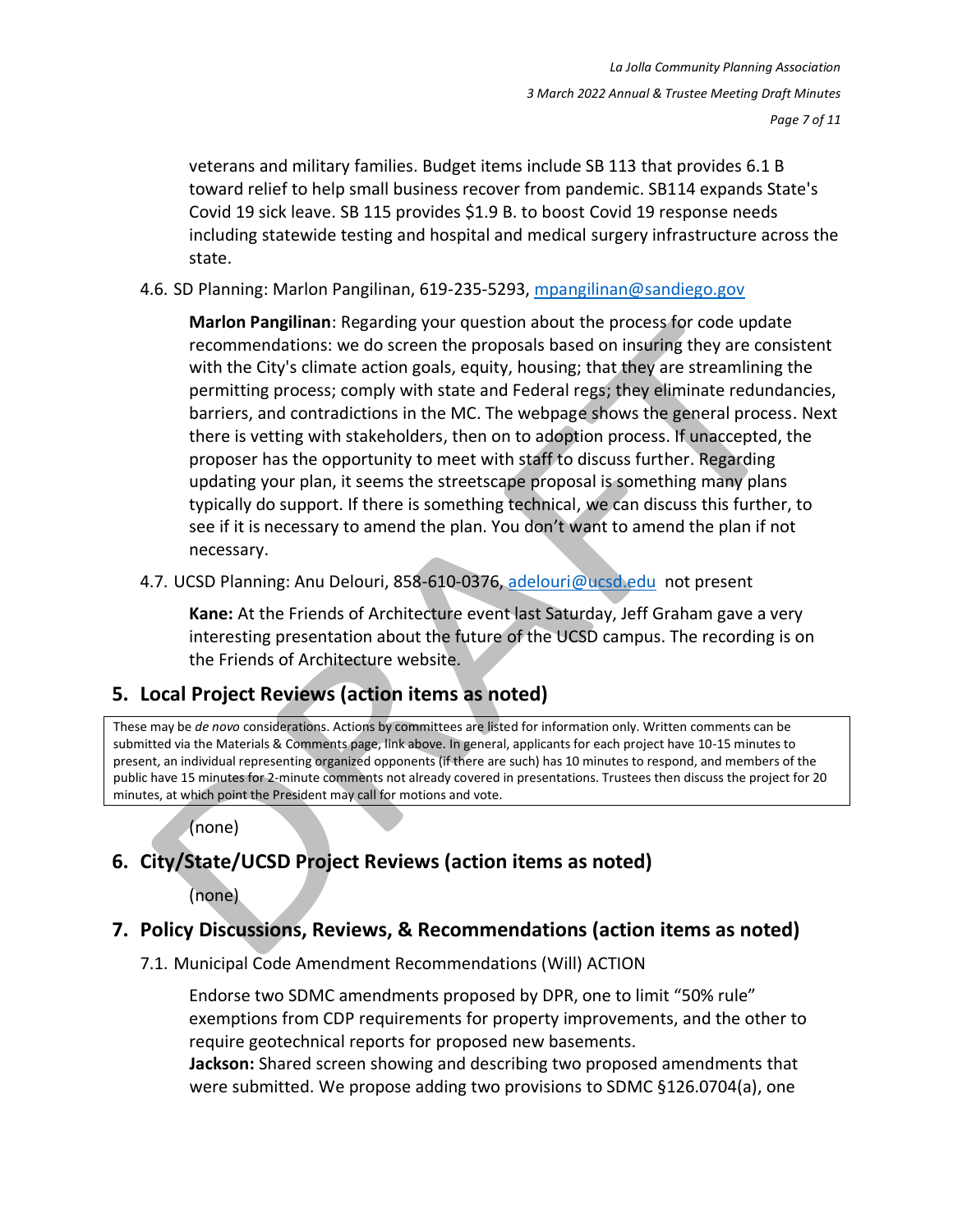veterans and military families. Budget items include SB 113 that provides 6.1 B toward relief to help small business recover from pandemic. SB114 expands State's Covid 19 sick leave. SB 115 provides \$1.9 B. to boost Covid 19 response needs including statewide testing and hospital and medical surgery infrastructure across the state.

4.6. SD Planning: Marlon Pangilinan, 619-235-5293, [mpangilinan@sandiego.gov](mailto:mpangilinan@sandiego.gov)

**Marlon Pangilinan**: Regarding your question about the process for code update recommendations: we do screen the proposals based on insuring they are consistent with the City's climate action goals, equity, housing; that they are streamlining the permitting process; comply with state and Federal regs; they eliminate redundancies, barriers, and contradictions in the MC. The webpage shows the general process. Next there is vetting with stakeholders, then on to adoption process. If unaccepted, the proposer has the opportunity to meet with staff to discuss further. Regarding updating your plan, it seems the streetscape proposal is something many plans typically do support. If there is something technical, we can discuss this further, to see if it is necessary to amend the plan. You don't want to amend the plan if not necessary.

4.7. UCSD Planning: Anu Delouri, 858-610-0376, [adelouri@ucsd.edu](mailto:adelouri@ucsd.edu) not present

**Kane:** At the Friends of Architecture event last Saturday, Jeff Graham gave a very interesting presentation about the future of the UCSD campus. The recording is on the Friends of Architecture website.

## **5. Local Project Reviews (action items as noted)**

These may be *de novo* considerations. Actions by committees are listed for information only. Written comments can be submitted via the Materials & Comments page, link above. In general, applicants for each project have 10-15 minutes to present, an individual representing organized opponents (if there are such) has 10 minutes to respond, and members of the public have 15 minutes for 2-minute comments not already covered in presentations. Trustees then discuss the project for 20 minutes, at which point the President may call for motions and vote.

(none)

## **6. City/State/UCSD Project Reviews (action items as noted)**

(none)

## **7. Policy Discussions, Reviews, & Recommendations (action items as noted)**

7.1. Municipal Code Amendment Recommendations (Will) ACTION

Endorse two SDMC amendments proposed by DPR, one to limit "50% rule" exemptions from CDP requirements for property improvements, and the other to require geotechnical reports for proposed new basements.

**Jackson:** Shared screen showing and describing two proposed amendments that were submitted. We propose adding two provisions to SDMC §126.0704(a), one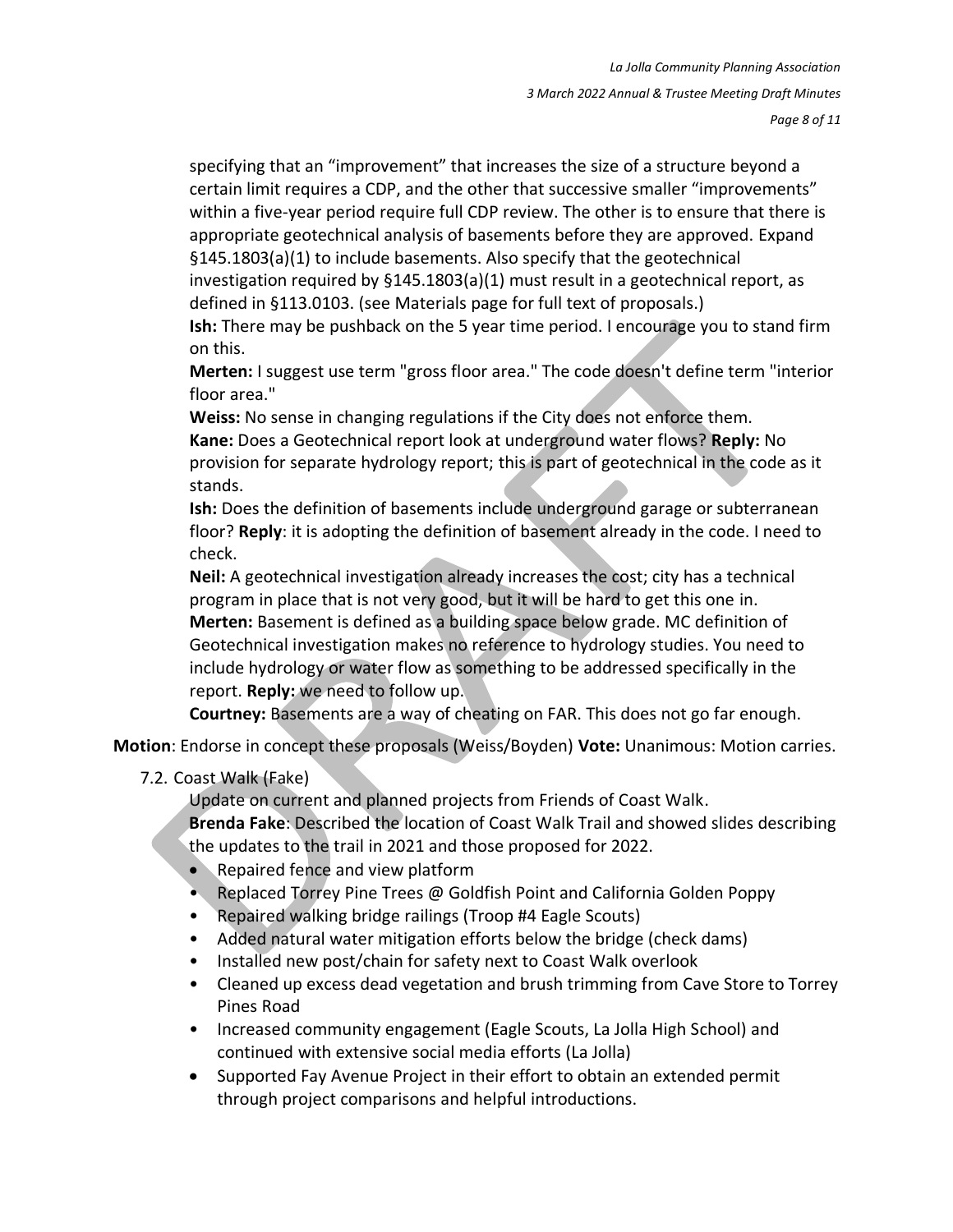specifying that an "improvement" that increases the size of a structure beyond a certain limit requires a CDP, and the other that successive smaller "improvements" within a five-year period require full CDP review. The other is to ensure that there is appropriate geotechnical analysis of basements before they are approved. Expand §145.1803(a)(1) to include basements. Also specify that the geotechnical investigation required by  $\S 145.1803(a)(1)$  must result in a geotechnical report, as defined in §113.0103. (see Materials page for full text of proposals.) **Ish:** There may be pushback on the 5 year time period. I encourage you to stand firm on this.

**Merten:** I suggest use term "gross floor area." The code doesn't define term "interior floor area."

**Weiss:** No sense in changing regulations if the City does not enforce them. **Kane:** Does a Geotechnical report look at underground water flows? **Reply:** No provision for separate hydrology report; this is part of geotechnical in the code as it stands.

**Ish:** Does the definition of basements include underground garage or subterranean floor? **Reply**: it is adopting the definition of basement already in the code. I need to check.

**Neil:** A geotechnical investigation already increases the cost; city has a technical program in place that is not very good, but it will be hard to get this one in. **Merten:** Basement is defined as a building space below grade. MC definition of Geotechnical investigation makes no reference to hydrology studies. You need to include hydrology or water flow as something to be addressed specifically in the report. **Reply:** we need to follow up.

**Courtney:** Basements are a way of cheating on FAR. This does not go far enough.

**Motion**: Endorse in concept these proposals (Weiss/Boyden) **Vote:** Unanimous: Motion carries.

7.2. Coast Walk (Fake)

Update on current and planned projects from Friends of Coast Walk.

**Brenda Fake**: Described the location of Coast Walk Trail and showed slides describing the updates to the trail in 2021 and those proposed for 2022.

- Repaired fence and view platform
- Replaced Torrey Pine Trees @ Goldfish Point and California Golden Poppy
- Repaired walking bridge railings (Troop #4 Eagle Scouts)
- Added natural water mitigation efforts below the bridge (check dams)
- Installed new post/chain for safety next to Coast Walk overlook
- Cleaned up excess dead vegetation and brush trimming from Cave Store to Torrey Pines Road
- Increased community engagement (Eagle Scouts, La Jolla High School) and continued with extensive social media efforts (La Jolla)
- Supported Fay Avenue Project in their effort to obtain an extended permit through project comparisons and helpful introductions.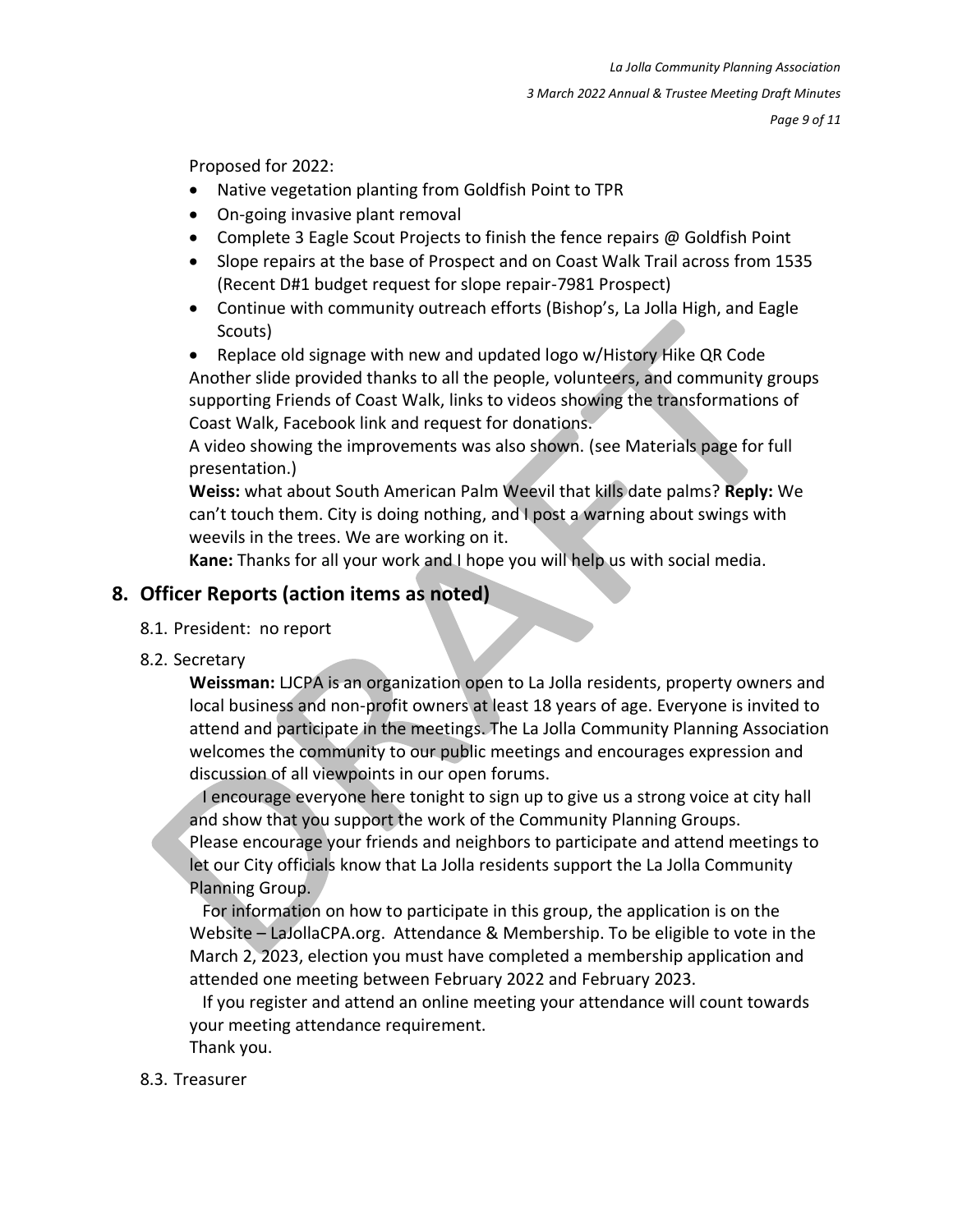Proposed for 2022:

- Native vegetation planting from Goldfish Point to TPR
- On-going invasive plant removal
- Complete 3 Eagle Scout Projects to finish the fence repairs @ Goldfish Point
- Slope repairs at the base of Prospect and on Coast Walk Trail across from 1535 (Recent D#1 budget request for slope repair-7981 Prospect)
- Continue with community outreach efforts (Bishop's, La Jolla High, and Eagle Scouts)

• Replace old signage with new and updated logo w/History Hike QR Code Another slide provided thanks to all the people, volunteers, and community groups supporting Friends of Coast Walk, links to videos showing the transformations of Coast Walk, Facebook link and request for donations.

A video showing the improvements was also shown. (see Materials page for full presentation.)

**Weiss:** what about South American Palm Weevil that kills date palms? **Reply:** We can't touch them. City is doing nothing, and I post a warning about swings with weevils in the trees. We are working on it.

**Kane:** Thanks for all your work and I hope you will help us with social media.

### **8. Officer Reports (action items as noted)**

- 8.1. President: no report
- 8.2. Secretary

**Weissman:** LJCPA is an organization open to La Jolla residents, property owners and local business and non-profit owners at least 18 years of age. Everyone is invited to attend and participate in the meetings. The La Jolla Community Planning Association welcomes the community to our public meetings and encourages expression and discussion of all viewpoints in our open forums.

 I encourage everyone here tonight to sign up to give us a strong voice at city hall and show that you support the work of the Community Planning Groups. Please encourage your friends and neighbors to participate and attend meetings to let our City officials know that La Jolla residents support the La Jolla Community Planning Group.

 For information on how to participate in this group, the application is on the Website – LaJollaCPA.org. Attendance & Membership. To be eligible to vote in the March 2, 2023, election you must have completed a membership application and attended one meeting between February 2022 and February 2023.

 If you register and attend an online meeting your attendance will count towards your meeting attendance requirement. Thank you.

#### 8.3. Treasurer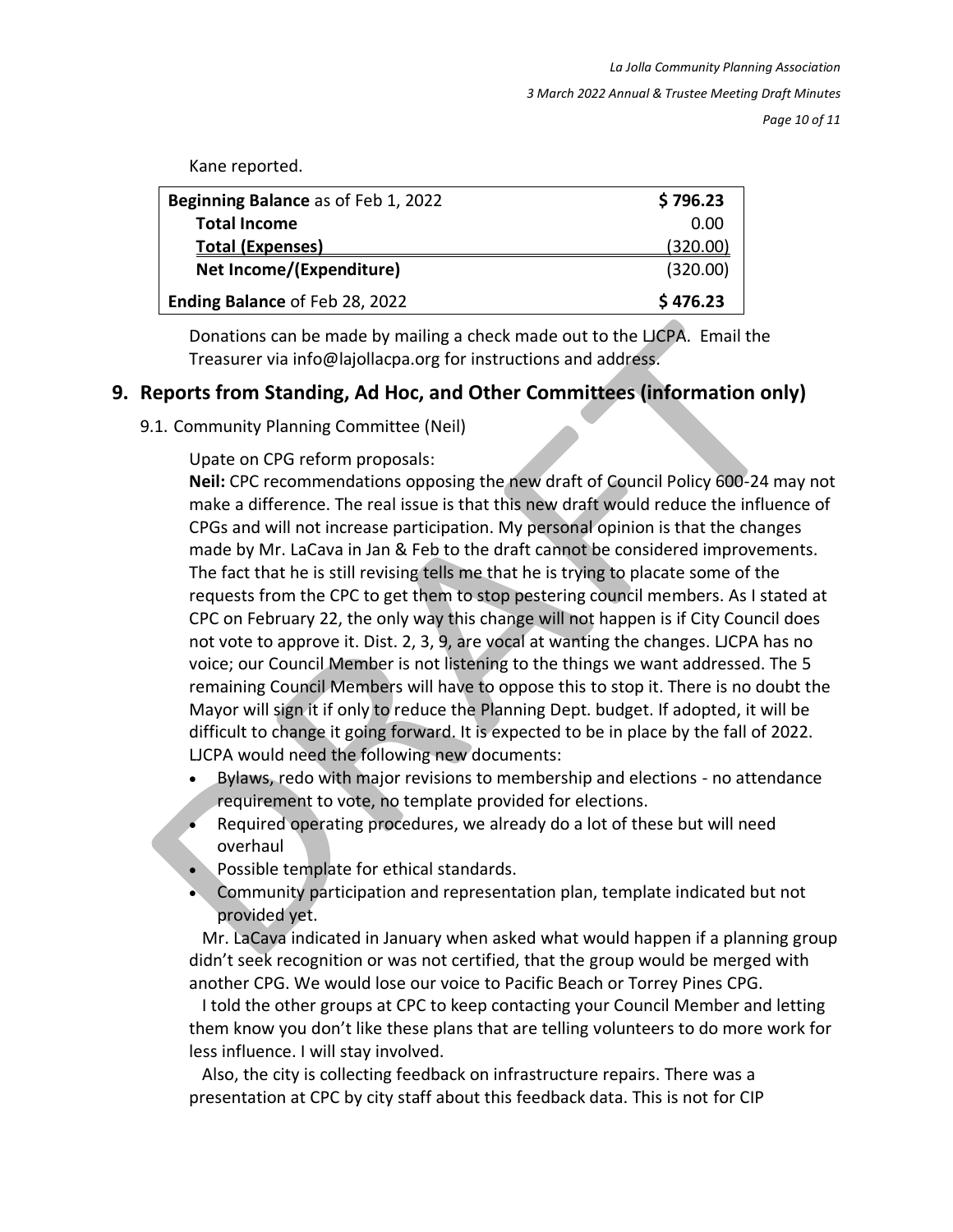Kane reported.

| Beginning Balance as of Feb 1, 2022 | \$796.23 |
|-------------------------------------|----------|
| <b>Total Income</b>                 | 0.00     |
| <b>Total (Expenses)</b>             | (320.00) |
| Net Income/(Expenditure)            | (320.00) |
| Ending Balance of Feb 28, 2022      | \$476.23 |

Donations can be made by mailing a check made out to the LJCPA. Email the Treasurer via info@lajollacpa.org for instructions and address.

#### **9. Reports from Standing, Ad Hoc, and Other Committees (information only)**

9.1. Community Planning Committee (Neil)

#### Upate on CPG reform proposals:

**Neil:** CPC recommendations opposing the new draft of Council Policy 600-24 may not make a difference. The real issue is that this new draft would reduce the influence of CPGs and will not increase participation. My personal opinion is that the changes made by Mr. LaCava in Jan & Feb to the draft cannot be considered improvements. The fact that he is still revising tells me that he is trying to placate some of the requests from the CPC to get them to stop pestering council members. As I stated at CPC on February 22, the only way this change will not happen is if City Council does not vote to approve it. Dist. 2, 3, 9, are vocal at wanting the changes. LJCPA has no voice; our Council Member is not listening to the things we want addressed. The 5 remaining Council Members will have to oppose this to stop it. There is no doubt the Mayor will sign it if only to reduce the Planning Dept. budget. If adopted, it will be difficult to change it going forward. It is expected to be in place by the fall of 2022. LJCPA would need the following new documents:

- Bylaws, redo with major revisions to membership and elections no attendance requirement to vote, no template provided for elections.
- Required operating procedures, we already do a lot of these but will need overhaul
- Possible template for ethical standards.
- Community participation and representation plan, template indicated but not provided yet.

 Mr. LaCava indicated in January when asked what would happen if a planning group didn't seek recognition or was not certified, that the group would be merged with another CPG. We would lose our voice to Pacific Beach or Torrey Pines CPG.

 I told the other groups at CPC to keep contacting your Council Member and letting them know you don't like these plans that are telling volunteers to do more work for less influence. I will stay involved.

 Also, the city is collecting feedback on infrastructure repairs. There was a presentation at CPC by city staff about this feedback data. This is not for CIP